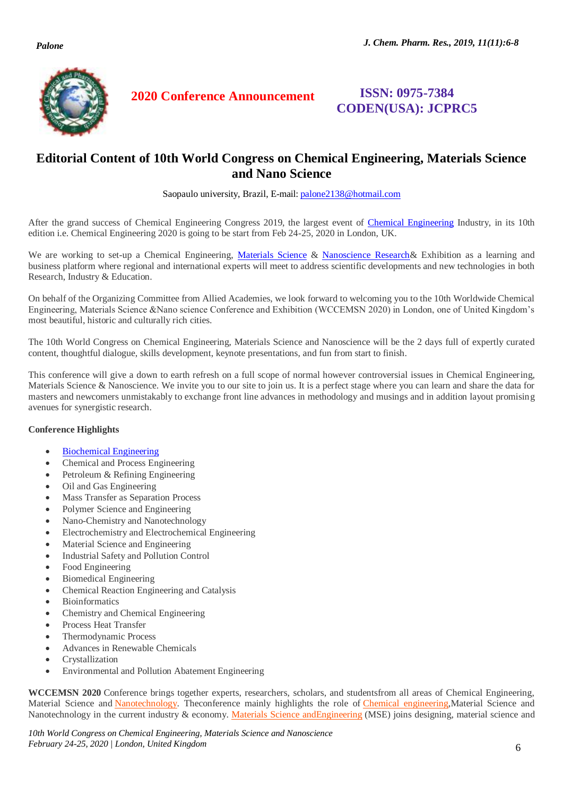

**2020 Conference Announcement ISSN: 0975-7384** 

# **CODEN(USA): JCPRC5**

## **Editorial Content of 10th World Congress on Chemical Engineering, Materials Science and Nano Science**

Saopaulo university, Brazil, E-mail[: palone2138@hotmail.com](mailto:palone2138@hotmail.com)

After the grand success of Chemical Engineering Congress 2019, the largest event of [Chemical Engineering](https://chemicalengineering.alliedacademies.com/) Industry, in its 10th edition i.e. Chemical Engineering 2020 is going to be start from Feb 24-25, 2020 in London, UK.

We are working to set-up a Chemical Engineering, [Materials Science](https://chemicalengineering.alliedacademies.com/) & [Nanoscience Research&](https://chemicalengineering.alliedacademies.com/) Exhibition as a learning and business platform where regional and international experts will meet to address scientific developments and new technologies in both Research, Industry & Education.

On behalf of the Organizing Committee from Allied Academies, we look forward to welcoming you to the 10th Worldwide Chemical Engineering, Materials Science &Nano science Conference and Exhibition (WCCEMSN 2020) in London, one of United Kingdom's most beautiful, historic and culturally rich cities.

The 10th World Congress on Chemical Engineering, Materials Science and Nanoscience will be the 2 days full of expertly curated content, thoughtful dialogue, skills development, keynote presentations, and fun from start to finish.

This conference will give a down to earth refresh on a full scope of normal however controversial issues in Chemical Engineering, Materials Science & Nanoscience. We invite you to our site to join us. It is a perfect stage where you can learn and share the data for masters and newcomers unmistakably to exchange front line advances in methodology and musings and in addition layout promising avenues for synergistic research.

## **Conference Highlights**

- [Biochemical Engineering](https://chemicalengineering.alliedacademies.com/)
- Chemical and Process Engineering
- Petroleum & Refining Engineering
- Oil and Gas Engineering
- Mass Transfer as Separation Process
- Polymer Science and Engineering
- Nano-Chemistry and Nanotechnology
- Electrochemistry and Electrochemical Engineering
- Material Science and Engineering
- Industrial Safety and Pollution Control
- Food Engineering
- Biomedical Engineering
- Chemical Reaction Engineering and Catalysis
- Bioinformatics
- Chemistry and Chemical Engineering
- Process Heat Transfer
- Thermodynamic Process
- Advances in Renewable Chemicals
- Crystallization
- Environmental and Pollution Abatement Engineering

**WCCEMSN 2020** Conference brings together experts, researchers, scholars, and studentsfrom all areas of Chemical Engineering, Material Science and Nanotechnology. Theconference mainly highlights the role of Chemical engineering, Material Science and Nanotechnology in the current industry & economy. Materials Science andEngineering (MSE) joins designing, material science and

*10th World Congress on Chemical Engineering, Materials Science and Nanoscience February 24-25, 2020 | London, United Kingdom* 6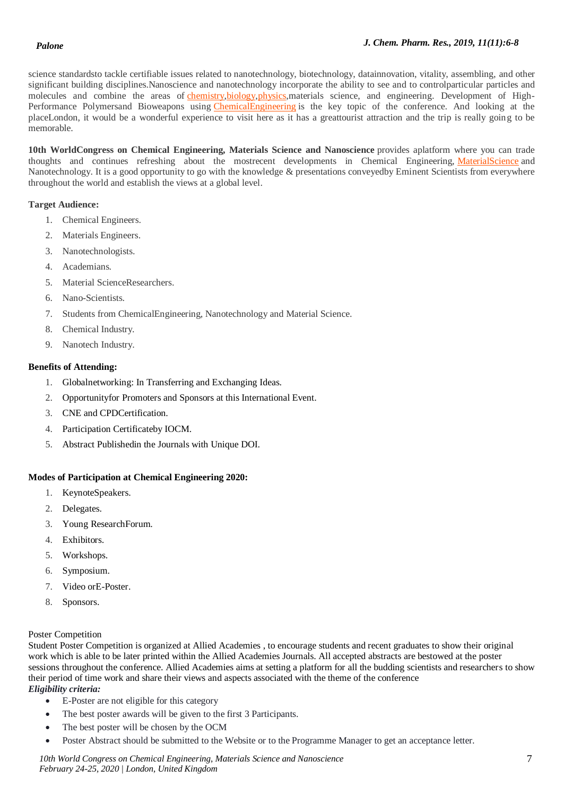science standardsto tackle certifiable issues related to nanotechnology, biotechnology, datainnovation, vitality, assembling, and other significant building disciplines.Nanoscience and nanotechnology incorporate the ability to see and to controlparticular particles and molecules and combine the areas of chemistry, biology, physics, materials science, and engineering. Development of High-Performance Polymersand Bioweapons using *ChemicalEngineering* is the key topic of the conference. And looking at the placeLondon, it would be a wonderful experience to visit here as it has a greattourist attraction and the trip is really going to be memorable.

**10th WorldCongress on Chemical Engineering, Materials Science and Nanoscience** provides aplatform where you can trade thoughts and continues refreshing about the mostrecent developments in Chemical Engineering, MaterialScience and Nanotechnology. It is a good opportunity to go with the knowledge & presentations conveyedby Eminent Scientists from everywhere throughout the world and establish the views at a global level.

#### **Target Audience:**

- 1. Chemical Engineers.
- 2. Materials Engineers.
- 3. Nanotechnologists.
- 4. Academians.
- 5. Material ScienceResearchers.
- 6. Nano-Scientists.
- 7. Students from ChemicalEngineering, Nanotechnology and Material Science.
- 8. Chemical Industry.
- 9. Nanotech Industry.

#### **Benefits of Attending:**

- 1. Globalnetworking: In Transferring and Exchanging Ideas.
- 2. Opportunityfor Promoters and Sponsors at this International Event.
- 3. CNE and CPDCertification.
- 4. Participation Certificateby IOCM.
- 5. Abstract Publishedin the Journals with Unique DOI.

## **Modes of Participation at Chemical Engineering 2020:**

- 1. KeynoteSpeakers.
- 2. Delegates.
- 3. Young ResearchForum.
- 4. Exhibitors.
- 5. Workshops.
- 6. Symposium.
- 7. Video orE-Poster.
- 8. Sponsors.

#### Poster Competition

Student Poster Competition is organized at Allied Academies , to encourage students and recent graduates to show their original work which is able to be later printed within the Allied Academies Journals. All accepted abstracts are bestowed at the poster sessions throughout the conference. Allied Academies aims at setting a platform for all the budding scientists and researchers to show their period of time work and share their views and aspects associated with the theme of the conference

- *Eligibility criteria:*
	- E-Poster are not eligible for this category
	- The best poster awards will be given to the first 3 Participants.
	- The best poster will be chosen by the OCM
	- Poster Abstract should be submitted to the Website or to the Programme Manager to get an acceptance letter.

*10th World Congress on Chemical Engineering, Materials Science and Nanoscience* 7 *February 24-25, 2020 | London, United Kingdom*